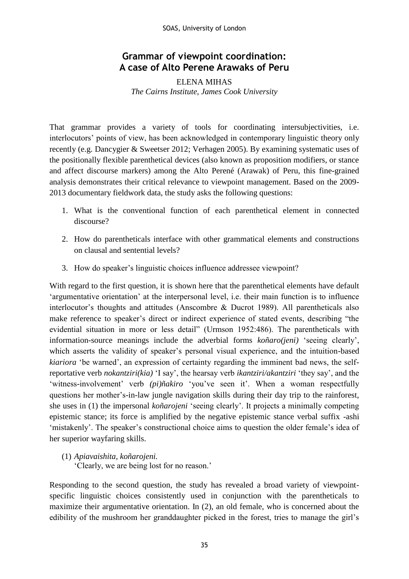SOAS, University of London

## **Grammar of viewpoint coordination: A case of Alto Perene Arawaks of Peru**

ELENA MIHAS *The Cairns Institute, James Cook University*

That grammar provides a variety of tools for coordinating intersubjectivities, i.e. interlocutors' points of view, has been acknowledged in contemporary linguistic theory only recently (e.g. Dancygier & Sweetser 2012; Verhagen 2005). By examining systematic uses of the positionally flexible parenthetical devices (also known as proposition modifiers, or stance and affect discourse markers) among the Alto Perené (Arawak) of Peru, this fine-grained analysis demonstrates their critical relevance to viewpoint management. Based on the 2009- 2013 documentary fieldwork data, the study asks the following questions:

- 1. What is the conventional function of each parenthetical element in connected discourse?
- 2. How do parentheticals interface with other grammatical elements and constructions on clausal and sentential levels?
- 3. How do speaker's linguistic choices influence addressee viewpoint?

With regard to the first question, it is shown here that the parenthetical elements have default 'argumentative orientation' at the interpersonal level, i.e. their main function is to influence interlocutor's thoughts and attitudes (Anscombre & Ducrot 1989). All parentheticals also make reference to speaker's direct or indirect experience of stated events, describing "the evidential situation in more or less detail" (Urmson 1952:486). The parentheticals with information-source meanings include the adverbial forms *koñaro(jeni)* 'seeing clearly', which asserts the validity of speaker's personal visual experience, and the intuition-based *kiariora* 'be warned', an expression of certainty regarding the imminent bad news, the selfreportative verb *nokantziri(kia)* 'I say', the hearsay verb *ikantziri/akantziri* 'they say', and the 'witness-involvement' verb *(pi)ñakiro* 'you've seen it'. When a woman respectfully questions her mother's-in-law jungle navigation skills during their day trip to the rainforest, she uses in (1) the impersonal *koñarojeni* 'seeing clearly'. It projects a minimally competing epistemic stance; its force is amplified by the negative epistemic stance verbal suffix -ashi 'mistakenly'. The speaker's constructional choice aims to question the older female's idea of her superior wayfaring skills.

## (1) *Apiavaishita, koñarojeni.*  'Clearly, we are being lost for no reason.'

Responding to the second question, the study has revealed a broad variety of viewpointspecific linguistic choices consistently used in conjunction with the parentheticals to maximize their argumentative orientation. In (2), an old female, who is concerned about the edibility of the mushroom her granddaughter picked in the forest, tries to manage the girl's